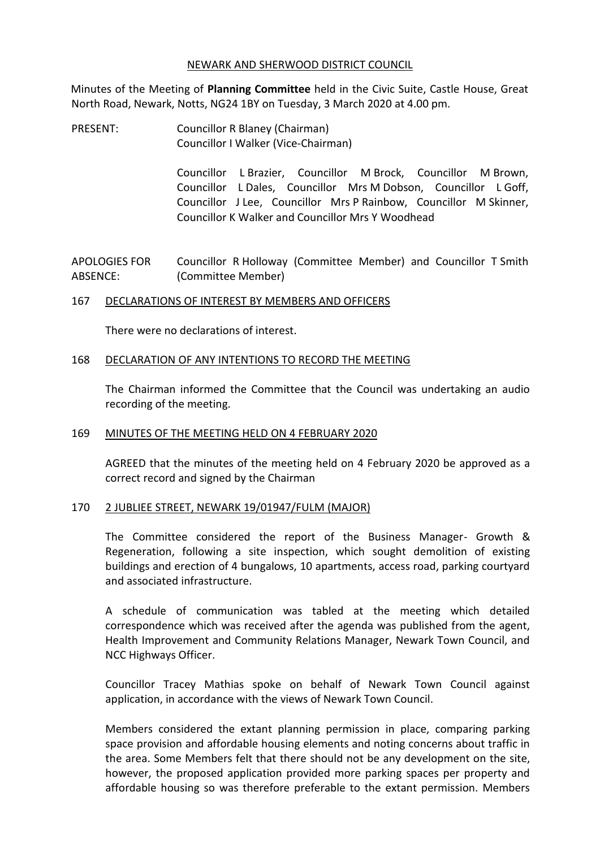### NEWARK AND SHERWOOD DISTRICT COUNCIL

Minutes of the Meeting of **Planning Committee** held in the Civic Suite, Castle House, Great North Road, Newark, Notts, NG24 1BY on Tuesday, 3 March 2020 at 4.00 pm.

PRESENT: Councillor R Blaney (Chairman) Councillor I Walker (Vice-Chairman)

> Councillor L Brazier, Councillor M Brock, Councillor M Brown, Councillor L Dales, Councillor Mrs M Dobson, Councillor L Goff, Councillor J Lee, Councillor Mrs P Rainbow, Councillor M Skinner, Councillor K Walker and Councillor Mrs Y Woodhead

APOLOGIES FOR ABSENCE: Councillor R Holloway (Committee Member) and Councillor T Smith (Committee Member)

## 167 DECLARATIONS OF INTEREST BY MEMBERS AND OFFICERS

There were no declarations of interest.

### 168 DECLARATION OF ANY INTENTIONS TO RECORD THE MEETING

The Chairman informed the Committee that the Council was undertaking an audio recording of the meeting.

## 169 MINUTES OF THE MEETING HELD ON 4 FEBRUARY 2020

AGREED that the minutes of the meeting held on 4 February 2020 be approved as a correct record and signed by the Chairman

## 170 2 JUBLIEE STREET, NEWARK 19/01947/FULM (MAJOR)

The Committee considered the report of the Business Manager- Growth & Regeneration, following a site inspection, which sought demolition of existing buildings and erection of 4 bungalows, 10 apartments, access road, parking courtyard and associated infrastructure.

A schedule of communication was tabled at the meeting which detailed correspondence which was received after the agenda was published from the agent, Health Improvement and Community Relations Manager, Newark Town Council, and NCC Highways Officer.

Councillor Tracey Mathias spoke on behalf of Newark Town Council against application, in accordance with the views of Newark Town Council.

Members considered the extant planning permission in place, comparing parking space provision and affordable housing elements and noting concerns about traffic in the area. Some Members felt that there should not be any development on the site, however, the proposed application provided more parking spaces per property and affordable housing so was therefore preferable to the extant permission. Members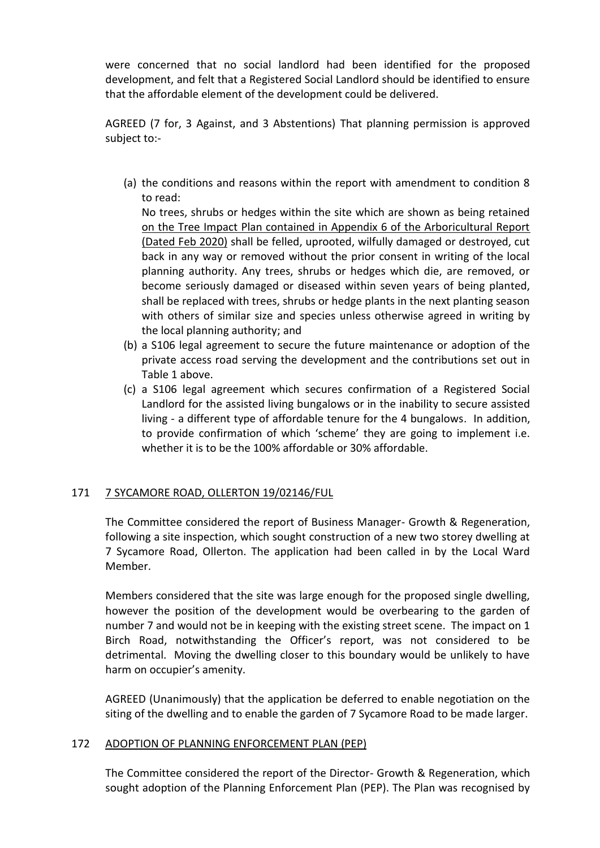were concerned that no social landlord had been identified for the proposed development, and felt that a Registered Social Landlord should be identified to ensure that the affordable element of the development could be delivered.

AGREED (7 for, 3 Against, and 3 Abstentions) That planning permission is approved subject to:-

(a) the conditions and reasons within the report with amendment to condition 8 to read:

No trees, shrubs or hedges within the site which are shown as being retained on the Tree Impact Plan contained in Appendix 6 of the Arboricultural Report (Dated Feb 2020) shall be felled, uprooted, wilfully damaged or destroyed, cut back in any way or removed without the prior consent in writing of the local planning authority. Any trees, shrubs or hedges which die, are removed, or become seriously damaged or diseased within seven years of being planted, shall be replaced with trees, shrubs or hedge plants in the next planting season with others of similar size and species unless otherwise agreed in writing by the local planning authority; and

- (b) a S106 legal agreement to secure the future maintenance or adoption of the private access road serving the development and the contributions set out in Table 1 above.
- (c) a S106 legal agreement which secures confirmation of a Registered Social Landlord for the assisted living bungalows or in the inability to secure assisted living - a different type of affordable tenure for the 4 bungalows. In addition, to provide confirmation of which 'scheme' they are going to implement i.e. whether it is to be the 100% affordable or 30% affordable.

# 171 7 SYCAMORE ROAD, OLLERTON 19/02146/FUL

The Committee considered the report of Business Manager- Growth & Regeneration, following a site inspection, which sought construction of a new two storey dwelling at 7 Sycamore Road, Ollerton. The application had been called in by the Local Ward Member.

Members considered that the site was large enough for the proposed single dwelling, however the position of the development would be overbearing to the garden of number 7 and would not be in keeping with the existing street scene. The impact on 1 Birch Road, notwithstanding the Officer's report, was not considered to be detrimental. Moving the dwelling closer to this boundary would be unlikely to have harm on occupier's amenity.

AGREED (Unanimously) that the application be deferred to enable negotiation on the siting of the dwelling and to enable the garden of 7 Sycamore Road to be made larger.

## 172 ADOPTION OF PLANNING ENFORCEMENT PLAN (PEP)

The Committee considered the report of the Director- Growth & Regeneration, which sought adoption of the Planning Enforcement Plan (PEP). The Plan was recognised by